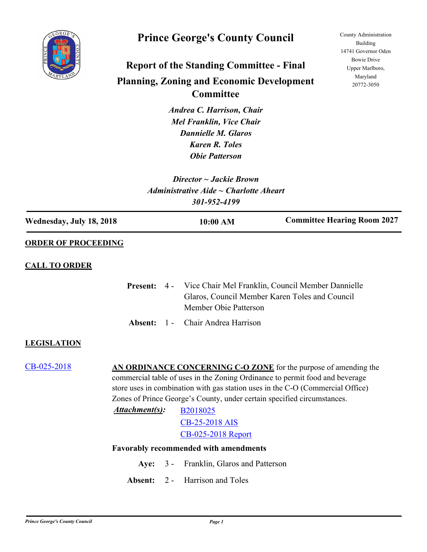

## **Prince George's County Council**

# **Report of the Standing Committee - Final Planning, Zoning and Economic Development Committee**

*Andrea C. Harrison, Chair Mel Franklin, Vice Chair Dannielle M. Glaros Karen R. Toles Obie Patterson*

*Director ~ Jackie Brown Administrative Aide ~ Charlotte Aheart 301-952-4199*

County Administration Building 14741 Governor Oden Bowie Drive Upper Marlboro, Maryland 20772-3050

| Wednesday, July 18, 2018<br><b>ORDER OF PROCEEDING</b><br><b>CALL TO ORDER</b><br><b>LEGISLATION</b><br>CB-025-2018 | <b>Present:</b><br>Absent: | $4 -$<br>$1 -$ | 10:00 AM<br>Member Obie Patterson<br>Chair Andrea Harrison | <b>Committee Hearing Room 2027</b><br>Vice Chair Mel Franklin, Council Member Dannielle<br>Glaros, Council Member Karen Toles and Council                                                                                                                                                                     |
|---------------------------------------------------------------------------------------------------------------------|----------------------------|----------------|------------------------------------------------------------|---------------------------------------------------------------------------------------------------------------------------------------------------------------------------------------------------------------------------------------------------------------------------------------------------------------|
|                                                                                                                     |                            |                |                                                            |                                                                                                                                                                                                                                                                                                               |
|                                                                                                                     |                            |                |                                                            |                                                                                                                                                                                                                                                                                                               |
|                                                                                                                     |                            |                |                                                            |                                                                                                                                                                                                                                                                                                               |
|                                                                                                                     |                            |                |                                                            |                                                                                                                                                                                                                                                                                                               |
|                                                                                                                     |                            |                |                                                            |                                                                                                                                                                                                                                                                                                               |
|                                                                                                                     |                            |                |                                                            |                                                                                                                                                                                                                                                                                                               |
|                                                                                                                     | Attachment(s):             |                | B2018025<br>CB-25-2018 AIS<br>CB-025-2018 Report           | AN ORDINANCE CONCERNING C-O ZONE for the purpose of amending the<br>commercial table of uses in the Zoning Ordinance to permit food and beverage<br>store uses in combination with gas station uses in the C-O (Commercial Office)<br>Zones of Prince George's County, under certain specified circumstances. |
|                                                                                                                     |                            |                | <b>Favorably recommended with amendments</b>               |                                                                                                                                                                                                                                                                                                               |
|                                                                                                                     | Aye:                       | $3 -$          | Franklin, Glaros and Patterson                             |                                                                                                                                                                                                                                                                                                               |
|                                                                                                                     | Absent:                    | $2 -$          | Harrison and Toles                                         |                                                                                                                                                                                                                                                                                                               |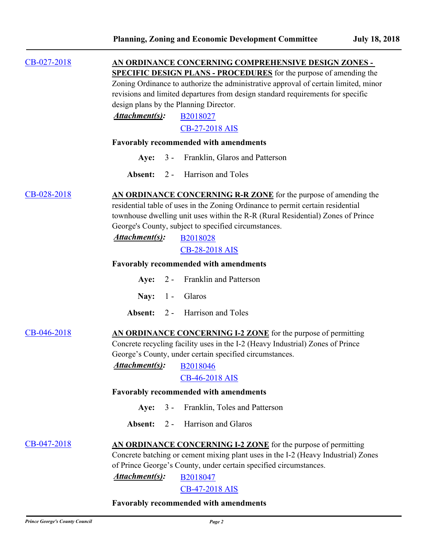| $CB-027-2018$ |                                                                                                                                                                                                                  |       | AN ORDINANCE CONCERNING COMPREHENSIVE DESIGN ZONES -    |  |  |  |  |                |  |                       |  |
|---------------|------------------------------------------------------------------------------------------------------------------------------------------------------------------------------------------------------------------|-------|---------------------------------------------------------|--|--|--|--|----------------|--|-----------------------|--|
|               | <b>SPECIFIC DESIGN PLANS - PROCEDURES</b> for the purpose of amending the                                                                                                                                        |       |                                                         |  |  |  |  |                |  |                       |  |
|               | Zoning Ordinance to authorize the administrative approval of certain limited, minor<br>revisions and limited departures from design standard requirements for specific<br>design plans by the Planning Director. |       |                                                         |  |  |  |  |                |  |                       |  |
|               |                                                                                                                                                                                                                  |       |                                                         |  |  |  |  | Attachment(s): |  | B2018027              |  |
|               |                                                                                                                                                                                                                  |       |                                                         |  |  |  |  |                |  | <b>CB-27-2018 AIS</b> |  |
|               | <b>Favorably recommended with amendments</b>                                                                                                                                                                     |       |                                                         |  |  |  |  |                |  |                       |  |
|               | Aye:                                                                                                                                                                                                             | $3 -$ | Franklin, Glaros and Patterson                          |  |  |  |  |                |  |                       |  |
|               | Absent:                                                                                                                                                                                                          | $2 -$ | Harrison and Toles                                      |  |  |  |  |                |  |                       |  |
| CB-028-2018   | AN ORDINANCE CONCERNING R-R ZONE for the purpose of amending the                                                                                                                                                 |       |                                                         |  |  |  |  |                |  |                       |  |
|               | residential table of uses in the Zoning Ordinance to permit certain residential                                                                                                                                  |       |                                                         |  |  |  |  |                |  |                       |  |
|               | townhouse dwelling unit uses within the R-R (Rural Residential) Zones of Prince                                                                                                                                  |       |                                                         |  |  |  |  |                |  |                       |  |
|               | George's County, subject to specified circumstances.                                                                                                                                                             |       |                                                         |  |  |  |  |                |  |                       |  |
|               | Attachment(s):                                                                                                                                                                                                   |       | B2018028                                                |  |  |  |  |                |  |                       |  |
|               |                                                                                                                                                                                                                  |       | <b>CB-28-2018 AIS</b>                                   |  |  |  |  |                |  |                       |  |
|               | <b>Favorably recommended with amendments</b>                                                                                                                                                                     |       |                                                         |  |  |  |  |                |  |                       |  |
|               | Aye:                                                                                                                                                                                                             | $2 -$ | Franklin and Patterson                                  |  |  |  |  |                |  |                       |  |
|               | Nay: $1 -$                                                                                                                                                                                                       |       | Glaros                                                  |  |  |  |  |                |  |                       |  |
|               | Absent:                                                                                                                                                                                                          | $2 -$ | Harrison and Toles                                      |  |  |  |  |                |  |                       |  |
| CB-046-2018   | AN ORDINANCE CONCERNING I-2 ZONE for the purpose of permitting                                                                                                                                                   |       |                                                         |  |  |  |  |                |  |                       |  |
|               | Concrete recycling facility uses in the I-2 (Heavy Industrial) Zones of Prince                                                                                                                                   |       |                                                         |  |  |  |  |                |  |                       |  |
|               |                                                                                                                                                                                                                  |       | George's County, under certain specified circumstances. |  |  |  |  |                |  |                       |  |
|               | <b>Attachment(s):</b> B2018046                                                                                                                                                                                   |       |                                                         |  |  |  |  |                |  |                       |  |
|               |                                                                                                                                                                                                                  |       | CB-46-2018 AIS                                          |  |  |  |  |                |  |                       |  |
|               | Favorably recommended with amendments                                                                                                                                                                            |       |                                                         |  |  |  |  |                |  |                       |  |
|               | Aye:                                                                                                                                                                                                             | $3 -$ | Franklin, Toles and Patterson                           |  |  |  |  |                |  |                       |  |
|               | Absent:                                                                                                                                                                                                          | $2 -$ | Harrison and Glaros                                     |  |  |  |  |                |  |                       |  |
| CB-047-2018   | AN ORDINANCE CONCERNING I-2 ZONE for the purpose of permitting                                                                                                                                                   |       |                                                         |  |  |  |  |                |  |                       |  |
|               | Concrete batching or cement mixing plant uses in the I-2 (Heavy Industrial) Zones                                                                                                                                |       |                                                         |  |  |  |  |                |  |                       |  |
|               | of Prince George's County, under certain specified circumstances.                                                                                                                                                |       |                                                         |  |  |  |  |                |  |                       |  |
|               | Attachment(s):                                                                                                                                                                                                   |       | B2018047                                                |  |  |  |  |                |  |                       |  |
|               |                                                                                                                                                                                                                  |       | CB-47-2018 AIS                                          |  |  |  |  |                |  |                       |  |

### **Favorably recommended with amendments**